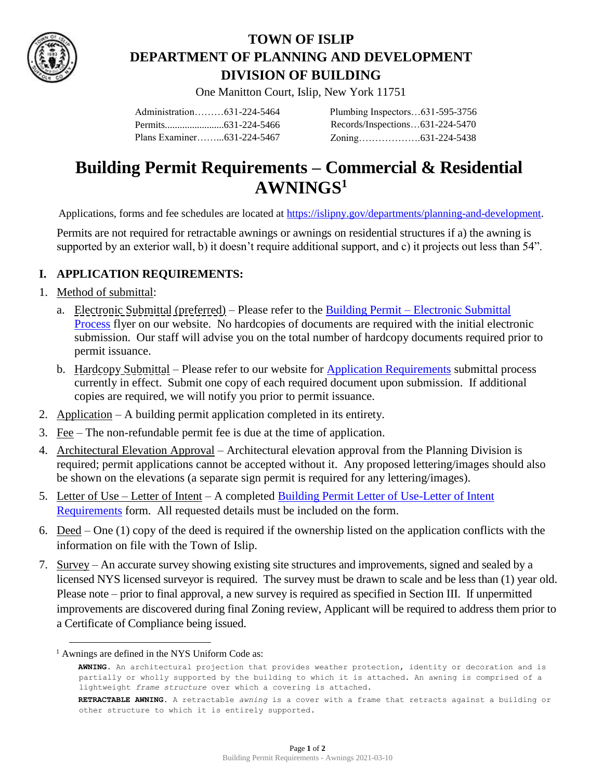

## **TOWN OF ISLIP DEPARTMENT OF PLANNING AND DEVELOPMENT DIVISION OF BUILDING**

One Manitton Court, Islip, New York 11751

Administration………631-224-5464 Permits........................631-224-5466 Plans Examiner……...631-224-5467 Plumbing Inspectors…631-595-3756 Records/Inspections…631-224-5470 Zoning……………….631-224-5438

# **Building Permit Requirements – Commercial & Residential AWNINGS<sup>1</sup>**

Applications, forms and fee schedules are located at [https://islipny.gov/departments/planning-and-development.](https://islipny.gov/departments/planning-and-development)

Permits are not required for retractable awnings or awnings on residential structures if a) the awning is supported by an exterior wall, b) it doesn't require additional support, and c) it projects out less than 54".

#### **I. APPLICATION REQUIREMENTS:**

- 1. Method of submittal:
	- a. Electronic Submittal (preferred) Please refer to the Building Permit [Electronic Submittal](https://islipny.gov/building-division-permits-list/986-document-upload-instructions-for-electronic-submissions-building/file)  **[Process](https://islipny.gov/building-division-permits-list/986-document-upload-instructions-for-electronic-submissions-building/file)** flyer on our website. No hardcopies of documents are required with the initial electronic submission. Our staff will advise you on the total number of hardcopy documents required prior to permit issuance.
	- b. Hardcopy Submittal Please refer to our website for [Application Requirements](https://islipny.gov/community-and-services/documents/planning-development/980-planning-development-temporary-application-process-requirements-during-covid-19-pandemic/file) submittal process currently in effect. Submit one copy of each required document upon submission. If additional copies are required, we will notify you prior to permit issuance.
- 2. Application A building permit application completed in its entirety.
- 3. Fee The non-refundable permit fee is due at the time of application.
- 4. Architectural Elevation Approval Architectural elevation approval from the Planning Division is required; permit applications cannot be accepted without it. Any proposed lettering/images should also be shown on the elevations (a separate sign permit is required for any lettering/images).
- 5. Letter of Use Letter of Intent A completed Building Permit Letter of Use-Letter of Intent [Requirements](https://islipny.gov/building-division-permits-list/847-letter-of-use-letter-of-intent-requirements/file) form. All requested details must be included on the form.
- 6. Deed One (1) copy of the deed is required if the ownership listed on the application conflicts with the information on file with the Town of Islip.
- 7. Survey An accurate survey showing existing site structures and improvements, signed and sealed by a licensed NYS licensed surveyor is required. The survey must be drawn to scale and be less than (1) year old. Please note – prior to final approval, a new survey is required as specified in Section III. If unpermitted improvements are discovered during final Zoning review, Applicant will be required to address them prior to a Certificate of Compliance being issued.

 $\overline{a}$ 

<sup>&</sup>lt;sup>1</sup> Awnings are defined in the NYS Uniform Code as:

**AWNING.** An architectural projection that provides weather protection, identity or decoration and is partially or wholly supported by the building to which it is attached. An awning is comprised of a lightweight *frame structure* over which a covering is attached.

**RETRACTABLE AWNING.** A retractable *awning* is a cover with a frame that retracts against a building or other structure to which it is entirely supported.